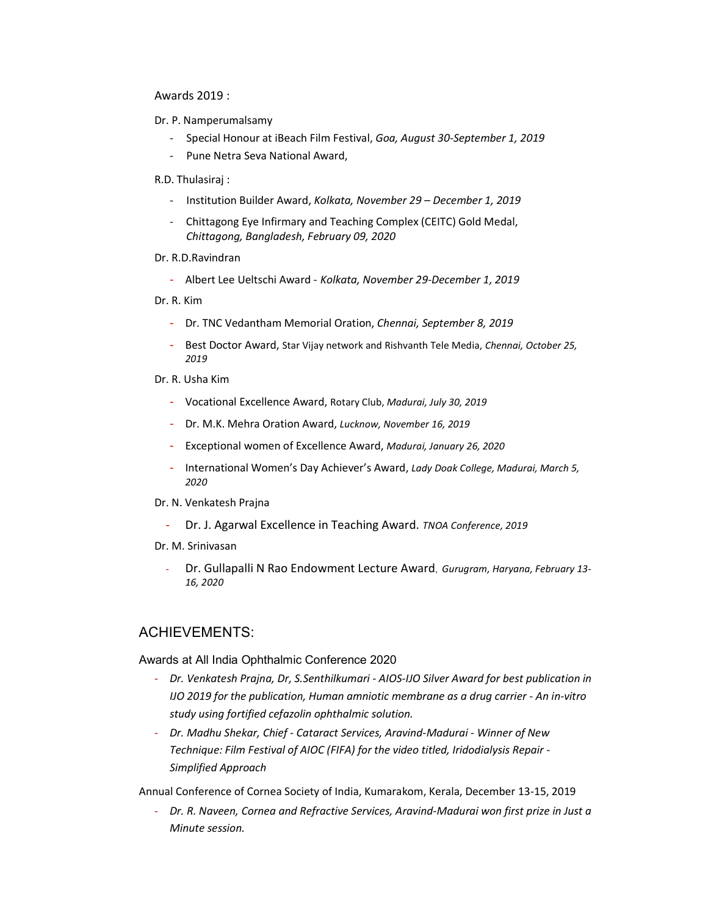## Awards 2019 :

- Dr. P. Namperumalsamy
	- Special Honour at iBeach Film Festival, Goa, August 30-September 1, 2019
	- Pune Netra Seva National Award,

### R.D. Thulasiraj :

- Institution Builder Award, Kolkata, November 29 December 1, 2019
- Chittagong Eye Infirmary and Teaching Complex (CEITC) Gold Medal, Chittagong, Bangladesh, February 09, 2020

## Dr. R.D.Ravindran

- Albert Lee Ueltschi Award - Kolkata, November 29-December 1, 2019

Dr. R. Kim

- Dr. TNC Vedantham Memorial Oration, Chennai, September 8, 2019
- Best Doctor Award, Star Vijay network and Rishvanth Tele Media, Chennai, October 25, 2019

## Dr. R. Usha Kim

- Vocational Excellence Award, Rotary Club, Madurai, July 30, 2019
- Dr. M.K. Mehra Oration Award, Lucknow, November 16, 2019
- Exceptional women of Excellence Award, Madurai, January 26, 2020
- International Women's Day Achiever's Award, Lady Doak College, Madurai, March 5, 2020

#### Dr. N. Venkatesh Prajna

- Dr. J. Agarwal Excellence in Teaching Award. TNOA Conference, 2019
- Dr. M. Srinivasan
	- Dr. Gullapalli N Rao Endowment Lecture Award, Gurugram, Haryana, February 13-16, 2020

# ACHIEVEMENTS:

#### Awards at All India Ophthalmic Conference 2020

- Dr. Venkatesh Prajna, Dr, S.Senthilkumari AIOS-IJO Silver Award for best publication in IJO 2019 for the publication, Human amniotic membrane as a drug carrier - An in-vitro study using fortified cefazolin ophthalmic solution.
- Dr. Madhu Shekar, Chief Cataract Services, Aravind-Madurai Winner of New Technique: Film Festival of AIOC (FIFA) for the video titled, Iridodialysis Repair - Simplified Approach

Annual Conference of Cornea Society of India, Kumarakom, Kerala, December 13-15, 2019

- Dr. R. Naveen, Cornea and Refractive Services, Aravind-Madurai won first prize in Just a Minute session.